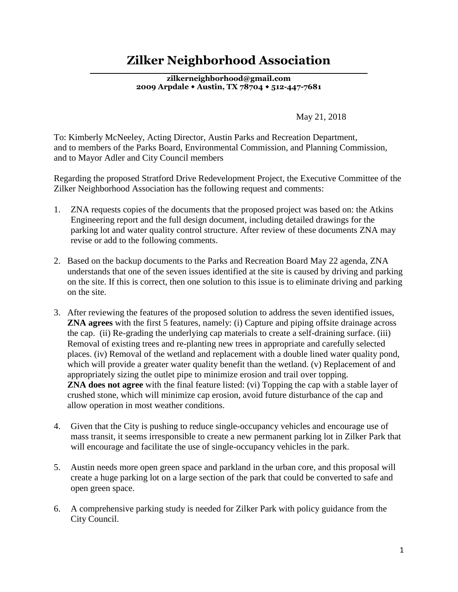## **Zilker Neighborhood Association**

**\_\_\_\_\_\_\_\_\_\_\_\_\_\_\_\_\_\_\_\_\_\_\_\_\_\_\_\_\_\_\_\_\_\_\_\_\_\_\_\_\_\_\_\_\_\_\_\_\_\_\_\_\_\_\_\_\_\_\_\_\_\_\_\_\_\_ zilkerneighborhood@gmail.com 2009 Arpdale Austin, TX 78704 512-447-7681**

May 21, 2018

To: Kimberly McNeeley, Acting Director, Austin Parks and Recreation Department, and to members of the Parks Board, Environmental Commission, and Planning Commission, and to Mayor Adler and City Council members

Regarding the proposed Stratford Drive Redevelopment Project, the Executive Committee of the Zilker Neighborhood Association has the following request and comments:

- 1. ZNA requests copies of the documents that the proposed project was based on: the Atkins Engineering report and the full design document, including detailed drawings for the parking lot and water quality control structure. After review of these documents ZNA may revise or add to the following comments.
- 2. Based on the backup documents to the Parks and Recreation Board May 22 agenda, ZNA understands that one of the seven issues identified at the site is caused by driving and parking on the site. If this is correct, then one solution to this issue is to eliminate driving and parking on the site.
- 3. After reviewing the features of the proposed solution to address the seven identified issues, **ZNA agrees** with the first 5 features, namely: (i) Capture and piping offsite drainage across the cap. (ii) Re-grading the underlying cap materials to create a self-draining surface. (iii) Removal of existing trees and re-planting new trees in appropriate and carefully selected places. (iv) Removal of the wetland and replacement with a double lined water quality pond, which will provide a greater water quality benefit than the wetland. (v) Replacement of and appropriately sizing the outlet pipe to minimize erosion and trail over topping. **ZNA does not agree** with the final feature listed: (vi) Topping the cap with a stable layer of crushed stone, which will minimize cap erosion, avoid future disturbance of the cap and allow operation in most weather conditions.
- 4. Given that the City is pushing to reduce single-occupancy vehicles and encourage use of mass transit, it seems irresponsible to create a new permanent parking lot in Zilker Park that will encourage and facilitate the use of single-occupancy vehicles in the park.
- 5. Austin needs more open green space and parkland in the urban core, and this proposal will create a huge parking lot on a large section of the park that could be converted to safe and open green space.
- 6. A comprehensive parking study is needed for Zilker Park with policy guidance from the City Council.